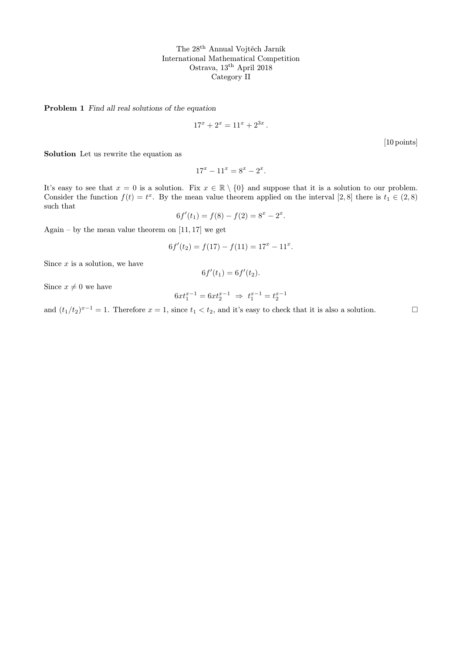Problem 1 Find all real solutions of the equation

$$
17^x + 2^x = 11^x + 2^{3x}.
$$

[10 points]

Solution Let us rewrite the equation as

$$
17^x - 11^x = 8^x - 2^x.
$$

It's easy to see that  $x = 0$  is a solution. Fix  $x \in \mathbb{R} \setminus \{0\}$  and suppose that it is a solution to our problem. Consider the function  $f(t) = t^x$ . By the mean value theorem applied on the interval [2,8] there is  $t_1 \in (2, 8)$ such that

$$
6f'(t_1) = f(8) - f(2) = 8^x - 2^x.
$$

Again – by the mean value theorem on  $[11, 17]$  we get

$$
6f'(t_2) = f(17) - f(11) = 17^x - 11^x.
$$

Since  $x$  is a solution, we have

$$
6f'(t_1) = 6f'(t_2).
$$

Since  $x \neq 0$  we have

$$
6xt_1^{x-1} = 6xt_2^{x-1} \ \Rightarrow \ t_1^{x-1} = t_2^{x-1}
$$

and  $(t_1/t_2)^{x-1} = 1$ . Therefore  $x = 1$ , since  $t_1 < t_2$ , and it's easy to check that it is also a solution.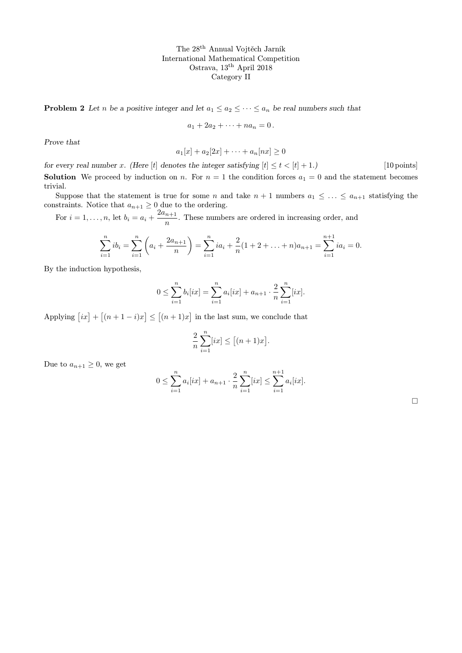**Problem 2** Let n be a positive integer and let  $a_1 \le a_2 \le \cdots \le a_n$  be real numbers such that

$$
a_1+2a_2+\cdots+na_n=0.
$$

Prove that

$$
a_1[x] + a_2[2x] + \cdots + a_n[nx] \ge 0
$$

for every real number x. (Here  $[t]$  denotes the integer satisfying  $[t] \le t < [t] + 1$ .) [10 points] **Solution** We proceed by induction on n. For  $n = 1$  the condition forces  $a_1 = 0$  and the statement becomes trivial.

Suppose that the statement is true for some n and take  $n + 1$  numbers  $a_1 \leq \ldots \leq a_{n+1}$  statisfying the constraints. Notice that  $a_{n+1} \geq 0$  due to the ordering.

For  $i = 1, ..., n$ , let  $b_i = a_i + \frac{2a_{n+1}}{n}$  $\frac{n+1}{n}$ . These numbers are ordered in increasing order, and

$$
\sum_{i=1}^{n} ib_i = \sum_{i=1}^{n} \left( a_i + \frac{2a_{n+1}}{n} \right) = \sum_{i=1}^{n} ia_i + \frac{2}{n} (1 + 2 + \ldots + n) a_{n+1} = \sum_{i=1}^{n+1} ia_i = 0.
$$

By the induction hypothesis,

$$
0 \le \sum_{i=1}^n b_i[ix] = \sum_{i=1}^n a_i[ix] + a_{n+1} \cdot \frac{2}{n} \sum_{i=1}^n [ix].
$$

Applying  $\lfloor ix \rfloor + \lfloor (n+1-i)x \rfloor \leq \lfloor (n+1)x \rfloor$  in the last sum, we conclude that

$$
\frac{2}{n}\sum_{i=1}^{n} [ix] \le [(n+1)x]
$$

.

Due to  $a_{n+1} \geq 0$ , we get

$$
0 \le \sum_{i=1}^{n} a_i [ix] + a_{n+1} \cdot \frac{2}{n} \sum_{i=1}^{n} [ix] \le \sum_{i=1}^{n+1} a_i [ix].
$$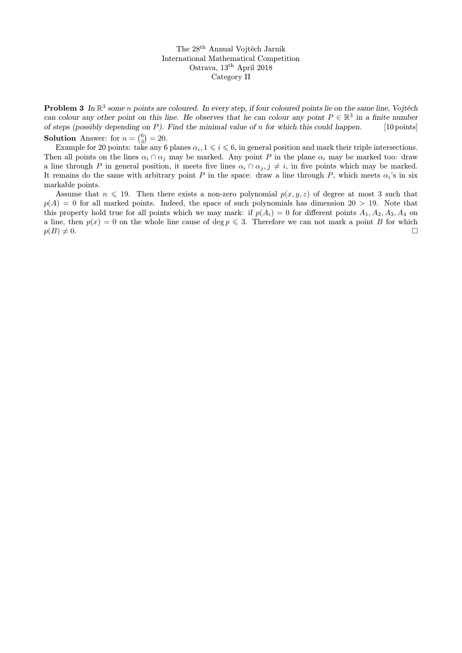**Problem 3** In  $\mathbb{R}^3$  some n points are coloured. In every step, if four coloured points lie on the same line, Vojtěch can colour any other point on this line. He observes that he can colour any point  $P \in \mathbb{R}^3$  in a finite number of steps (possibly depending on P). Find the minimal value of n for which this could happen. [10 points] **Solution** Answer: for  $n = \binom{6}{3} = 20$ .

Example for 20 points: take any 6 planes  $\alpha_i, 1 \leq i \leq 6$ , in general position and mark their triple intersections. Then all points on the lines  $\alpha_i \cap \alpha_j$  may be marked. Any point P in the plane  $\alpha_i$  may be marked too: draw a line through P in general position, it meets five lines  $\alpha_i \cap \alpha_j$ ,  $j \neq i$ , in five points which may be marked. It remains do the same with arbitrary point P in the space: draw a line through P, which meets  $\alpha_i$ 's in six markable points.

Assume that  $n \leq 19$ . Then there exists a non-zero polynomial  $p(x, y, z)$  of degree at most 3 such that  $p(A) = 0$  for all marked points. Indeed, the space of such polynomials has dimension  $20 > 19$ . Note that this property hold true for all points which we may mark: if  $p(A_i) = 0$  for different points  $A_1, A_2, A_3, A_4$  on a line, then  $p(x) = 0$  on the whole line cause of deg  $p \le 3$ . Therefore we can not mark a point B for which  $p(B) \neq 0.$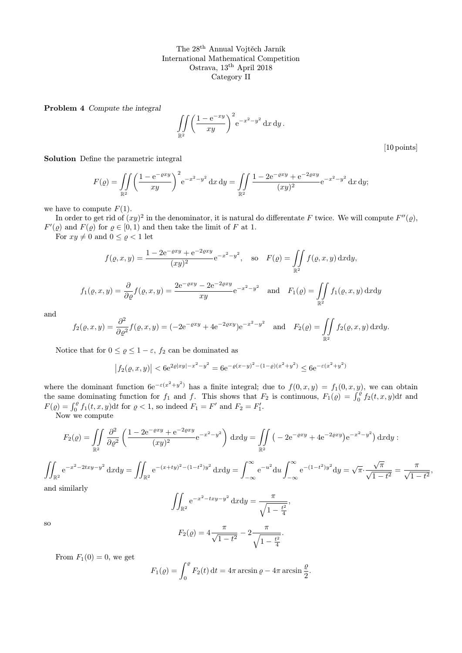Problem 4 Compute the integral

$$
\iint\limits_{\mathbb{R}^2} \left( \frac{1 - e^{-xy}}{xy} \right)^2 e^{-x^2 - y^2} dx dy.
$$

[10 points]

Solution Define the parametric integral

$$
F(\varrho) = \iint\limits_{\mathbb{R}^2} \left( \frac{1 - e^{-\varrho xy}}{xy} \right)^2 e^{-x^2 - y^2} dx dy = \iint\limits_{\mathbb{R}^2} \frac{1 - 2e^{-\varrho xy} + e^{-2\varrho xy}}{(xy)^2} e^{-x^2 - y^2} dx dy;
$$

we have to compute  $F(1)$ .

In order to get rid of  $(xy)^2$  in the denominator, it is natural do differentate F twice. We will compute  $F''(\varrho)$ ,  $F'(\varrho)$  and  $F(\varrho)$  for  $\varrho \in [0,1)$  and then take the limit of F at 1.

For  $xy\neq 0$  and  $0\leq \varrho<1$  let

$$
f(\varrho, x, y) = \frac{1 - 2e^{-\varrho xy} + e^{-2\varrho xy}}{(xy)^2} e^{-x^2 - y^2}, \text{ so } F(\varrho) = \iint_{\mathbb{R}^2} f(\varrho, x, y) \, dx \, dy,
$$

$$
f_1(\varrho, x, y) = \frac{\partial}{\partial \varrho} f(\varrho, x, y) = \frac{2e^{-\varrho xy} - 2e^{-2\varrho xy}}{xy} e^{-x^2 - y^2} \text{ and } F_1(\varrho) = \iint_{\mathbb{R}^2} f_1(\varrho, x, y) \, dx \, dy
$$

and

$$
f_2(\varrho, x, y) = \frac{\partial^2}{\partial \varrho^2} f(\varrho, x, y) = (-2e^{-\varrho xy} + 4e^{-2\varrho xy})e^{-x^2 - y^2}
$$
 and  $F_2(\varrho) = \iint_{\mathbb{R}^2} f_2(\varrho, x, y) dxdy.$ 

Notice that for  $0 \le \varrho \le 1 - \varepsilon$ ,  $f_2$  can be dominated as

$$
\left|f_2(\varrho,x,y)\right| < 6e^{2\varrho|xy| - x^2 - y^2} = 6e^{-\varrho(x-y)^2 - (1-\varrho)(x^2 + y^2)} \le 6e^{-\varepsilon(x^2 + y^2)}
$$

where the dominant function  $6e^{-\epsilon(x^2+y^2)}$  has a finite integral; due to  $f(0,x,y) = f_1(0,x,y)$ , we can obtain the same dominating function for  $f_1$  and  $f$ . This shows that  $F_2$  is continuous,  $F_1(\rho) = \int_0^{\rho} f_2(t, x, y) dt$  and  $F(\varrho) = \int_0^{\varrho} f_1(t, x, y) dt$  for  $\varrho < 1$ , so indeed  $F_1 = F'$  and  $F_2 = F'_1$ .

Now we compute

$$
F_2(\varrho) = \iint_{\mathbb{R}^2} \frac{\partial^2}{\partial \varrho^2} \left( \frac{1 - 2e^{-\varrho xy} + e^{-2\varrho xy}}{(xy)^2} e^{-x^2 - y^2} \right) dxdy = \iint_{\mathbb{R}^2} \left( -2e^{-\varrho xy} + 4e^{-2\varrho xy} \right) e^{-x^2 - y^2} dxdy
$$
  

$$
\int_{\mathbb{R}^2} e^{-x^2 - 2txy - y^2} dxdy = \iint_{\mathbb{R}^2} e^{-(x+ty)^2 - (1-t^2)y^2} dxdy = \int_{-\infty}^{\infty} e^{-u^2} du \int_{-\infty}^{\infty} e^{-(1-t^2)y^2} dy = \sqrt{\pi} \cdot \frac{\sqrt{\pi}}{\sqrt{1-t^2}} = \frac{\pi}{\sqrt{1-t^2}},
$$

and similarly

$$
\iint_{\mathbb{R}^2} e^{-x^2 - txy - y^2} dx dy = \frac{\pi}{\sqrt{1 - \frac{t^2}{4}}},
$$

$$
F_2(\varrho) = 4 \frac{\pi}{\sqrt{1 - t^2}} - 2 \frac{\pi}{\sqrt{1 - \frac{t^2}{4}}}}.
$$

so

 $\int$ 

$$
F_2(\varrho) = 4 \frac{\pi}{\sqrt{1 - t^2}} - 2 \frac{\pi}{\sqrt{1 - \frac{t^2}{4}}}.
$$

From  $F_1(0) = 0$ , we get

$$
F_1(\varrho) = \int_0^{\varrho} F_2(t) dt = 4\pi \arcsin \varrho - 4\pi \arcsin \frac{\varrho}{2}.
$$